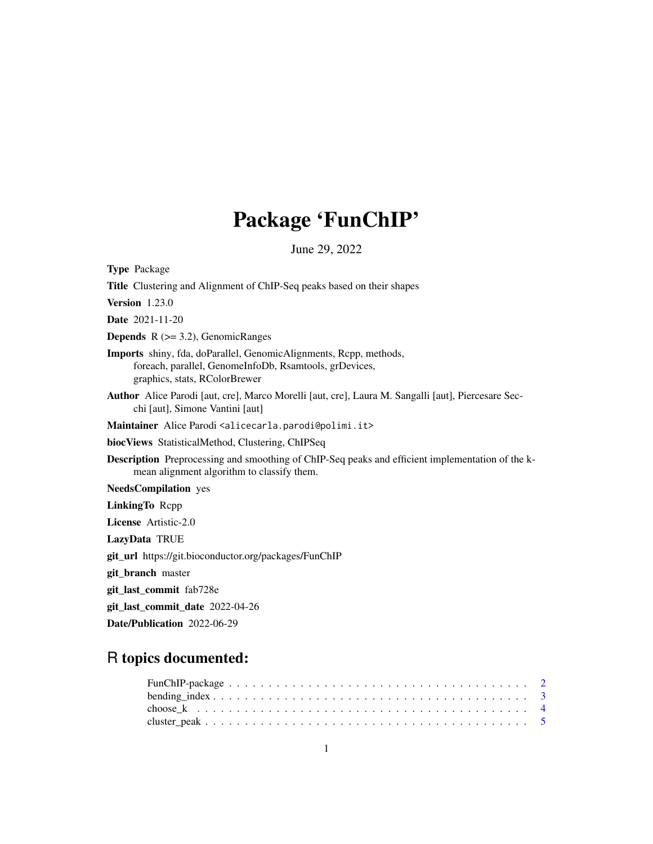# Package 'FunChIP'

June 29, 2022

<span id="page-0-0"></span>Type Package Title Clustering and Alignment of ChIP-Seq peaks based on their shapes Version 1.23.0 Date 2021-11-20 **Depends**  $R$  ( $>= 3.2$ ), GenomicRanges Imports shiny, fda, doParallel, GenomicAlignments, Rcpp, methods, foreach, parallel, GenomeInfoDb, Rsamtools, grDevices, graphics, stats, RColorBrewer Author Alice Parodi [aut, cre], Marco Morelli [aut, cre], Laura M. Sangalli [aut], Piercesare Secchi [aut], Simone Vantini [aut] Maintainer Alice Parodi <alicecarla.parodi@polimi.it> biocViews StatisticalMethod, Clustering, ChIPSeq Description Preprocessing and smoothing of ChIP-Seq peaks and efficient implementation of the kmean alignment algorithm to classify them. NeedsCompilation yes LinkingTo Rcpp License Artistic-2.0 LazyData TRUE git\_url https://git.bioconductor.org/packages/FunChIP git\_branch master git\_last\_commit fab728e git\_last\_commit\_date 2022-04-26

Date/Publication 2022-06-29

## R topics documented: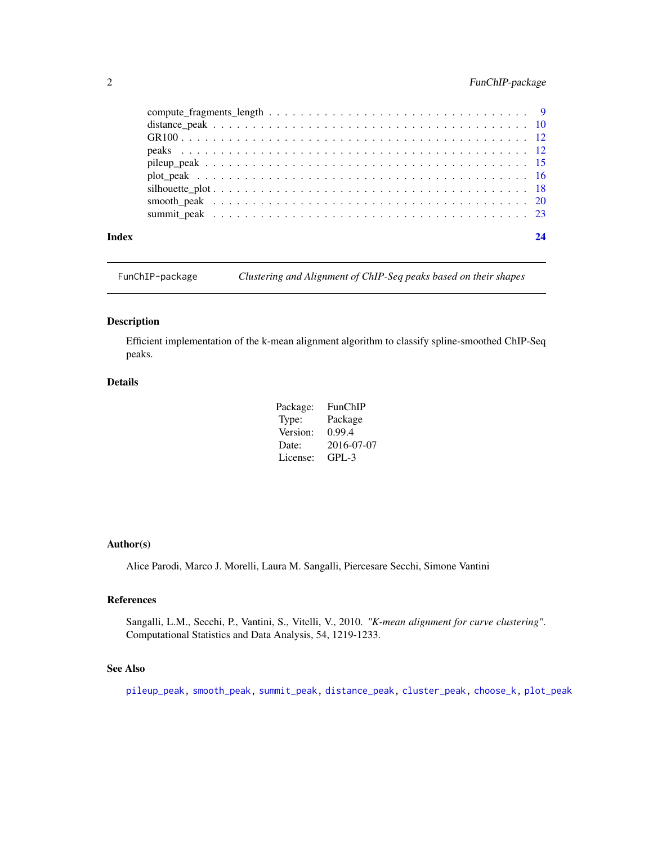### <span id="page-1-0"></span>2 FunChIP-package

| Index | 24 |
|-------|----|

FunChIP-package *Clustering and Alignment of ChIP-Seq peaks based on their shapes*

#### <span id="page-1-1"></span>Description

Efficient implementation of the k-mean alignment algorithm to classify spline-smoothed ChIP-Seq peaks.

#### Details

| Package: | FunChIP    |
|----------|------------|
| Type:    | Package    |
| Version: | 0.99.4     |
| Date:    | 2016-07-07 |
| License: | $GPI - 3$  |

#### Author(s)

Alice Parodi, Marco J. Morelli, Laura M. Sangalli, Piercesare Secchi, Simone Vantini

#### References

Sangalli, L.M., Secchi, P., Vantini, S., Vitelli, V., 2010. *"K-mean alignment for curve clustering"*. Computational Statistics and Data Analysis, 54, 1219-1233.

#### See Also

[pileup\\_peak,](#page-14-1) [smooth\\_peak,](#page-19-1) [summit\\_peak,](#page-22-1) [distance\\_peak,](#page-9-1) [cluster\\_peak,](#page-4-1) [choose\\_k,](#page-3-1) [plot\\_peak](#page-15-1)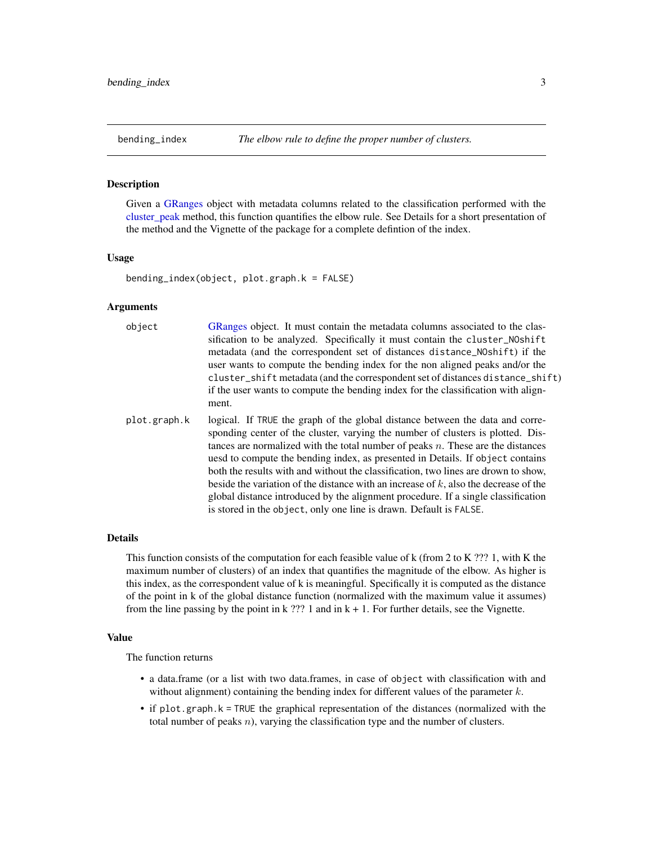<span id="page-2-0"></span>

#### Description

Given a [GRanges](#page-0-0) object with metadata columns related to the classification performed with the cluster peak method, this function quantifies the elbow rule. See Details for a short presentation of the method and the Vignette of the package for a complete defintion of the index.

#### Usage

bending\_index(object, plot.graph.k = FALSE)

#### Arguments

| object | GRanges object. It must contain the metadata columns associated to the clas-      |
|--------|-----------------------------------------------------------------------------------|
|        | sification to be analyzed. Specifically it must contain the cluster_NOshift       |
|        | metadata (and the correspondent set of distances distance_NOshift) if the         |
|        | user wants to compute the bending index for the non aligned peaks and/or the      |
|        | cluster_shift metadata (and the correspondent set of distances distance_shift)    |
|        | if the user wants to compute the bending index for the classification with align- |
|        | ment.                                                                             |
|        |                                                                                   |

plot.graph.k logical. If TRUE the graph of the global distance between the data and corresponding center of the cluster, varying the number of clusters is plotted. Distances are normalized with the total number of peaks  $n$ . These are the distances uesd to compute the bending index, as presented in Details. If object contains both the results with and without the classification, two lines are drown to show, beside the variation of the distance with an increase of  $k$ , also the decrease of the global distance introduced by the alignment procedure. If a single classification is stored in the object, only one line is drawn. Default is FALSE.

#### Details

This function consists of the computation for each feasible value of k (from 2 to K ??? 1, with K the maximum number of clusters) of an index that quantifies the magnitude of the elbow. As higher is this index, as the correspondent value of k is meaningful. Specifically it is computed as the distance of the point in k of the global distance function (normalized with the maximum value it assumes) from the line passing by the point in k  $??$ ? 1 and in k + 1. For further details, see the Vignette.

#### Value

The function returns

- a data.frame (or a list with two data.frames, in case of object with classification with and without alignment) containing the bending index for different values of the parameter  $k$ .
- if plot.graph.k = TRUE the graphical representation of the distances (normalized with the total number of peaks  $n$ ), varying the classification type and the number of clusters.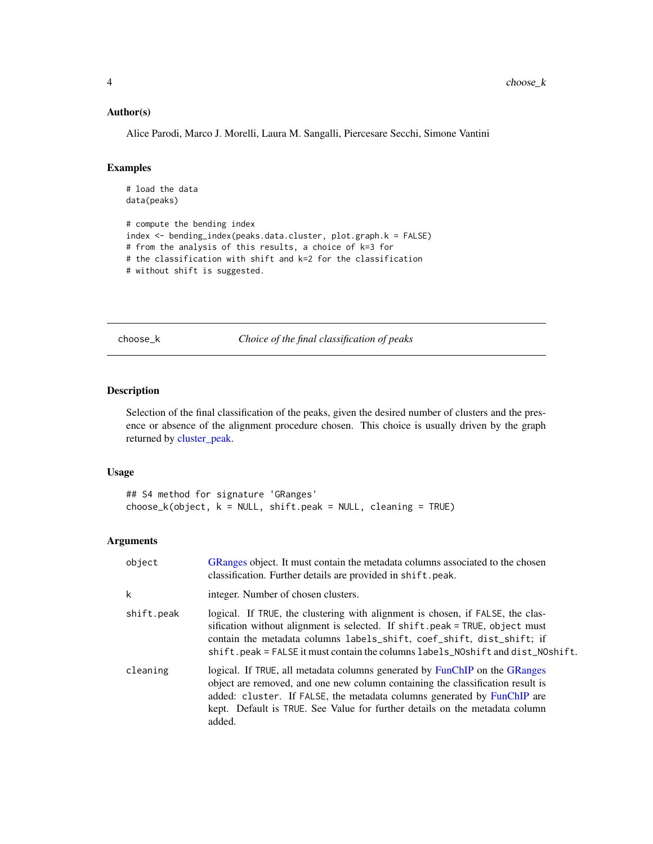#### <span id="page-3-0"></span>Author(s)

Alice Parodi, Marco J. Morelli, Laura M. Sangalli, Piercesare Secchi, Simone Vantini

#### Examples

```
# load the data
data(peaks)
# compute the bending index
index <- bending_index(peaks.data.cluster, plot.graph.k = FALSE)
# from the analysis of this results, a choice of k=3 for
# the classification with shift and k=2 for the classification
# without shift is suggested.
```
choose\_k *Choice of the final classification of peaks*

#### <span id="page-3-1"></span>Description

Selection of the final classification of the peaks, given the desired number of clusters and the presence or absence of the alignment procedure chosen. This choice is usually driven by the graph returned by [cluster\\_peak.](#page-4-1)

#### Usage

```
## S4 method for signature 'GRanges'
choose_k(objject, k = NULL, shift.peak = NULL, cleaning = TRUE)
```
#### Arguments

| object     | GRanges object. It must contain the metadata columns associated to the chosen<br>classification. Further details are provided in shift.peak.                                                                                                                                                                                     |
|------------|----------------------------------------------------------------------------------------------------------------------------------------------------------------------------------------------------------------------------------------------------------------------------------------------------------------------------------|
| k          | integer. Number of chosen clusters.                                                                                                                                                                                                                                                                                              |
| shift.peak | logical. If TRUE, the clustering with alignment is chosen, if FALSE, the clas-<br>sification without alignment is selected. If shift.peak = TRUE, object must<br>contain the metadata columns labels_shift, coef_shift, dist_shift; if<br>shift.peak = FALSE it must contain the columns labels_NOshift and dist_NOshift.        |
| cleaning   | logical. If TRUE, all metadata columns generated by FunChIP on the GRanges<br>object are removed, and one new column containing the classification result is<br>added: cluster. If FALSE, the metadata columns generated by FunChIP are<br>kept. Default is TRUE. See Value for further details on the metadata column<br>added. |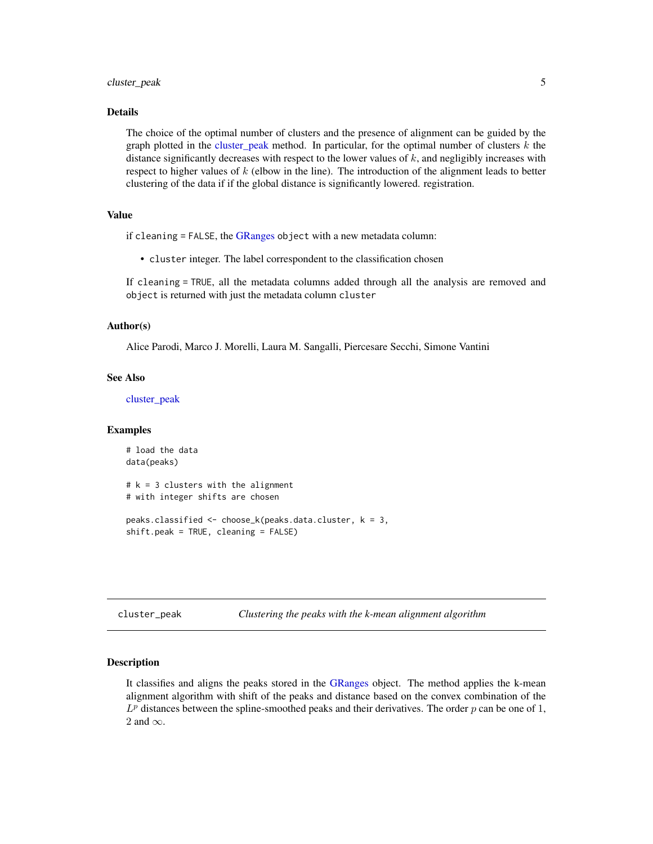#### <span id="page-4-0"></span>cluster\_peak 5

#### Details

The choice of the optimal number of clusters and the presence of alignment can be guided by the graph plotted in the [cluster\\_peak](#page-4-1) method. In particular, for the optimal number of clusters  $k$  the distance significantly decreases with respect to the lower values of  $k$ , and negligibly increases with respect to higher values of  $k$  (elbow in the line). The introduction of the alignment leads to better clustering of the data if if the global distance is significantly lowered. registration.

#### Value

if cleaning  $=$  FALSE, the [GRanges](#page-0-0) object with a new metadata column:

• cluster integer. The label correspondent to the classification chosen

If cleaning = TRUE, all the metadata columns added through all the analysis are removed and object is returned with just the metadata column cluster

#### Author(s)

Alice Parodi, Marco J. Morelli, Laura M. Sangalli, Piercesare Secchi, Simone Vantini

#### See Also

[cluster\\_peak](#page-4-1)

#### Examples

```
# load the data
data(peaks)
# k = 3 clusters with the alignment
# with integer shifts are chosen
peaks.classified <- choose_k(peaks.data.cluster, k = 3,
shift.peak = TRUE, cleaning = FALSE)
```
cluster\_peak *Clustering the peaks with the k-mean alignment algorithm*

#### <span id="page-4-1"></span>Description

It classifies and aligns the peaks stored in the [GRanges](#page-0-0) object. The method applies the k-mean alignment algorithm with shift of the peaks and distance based on the convex combination of the  $L^p$  distances between the spline-smoothed peaks and their derivatives. The order p can be one of 1, 2 and  $\infty$ .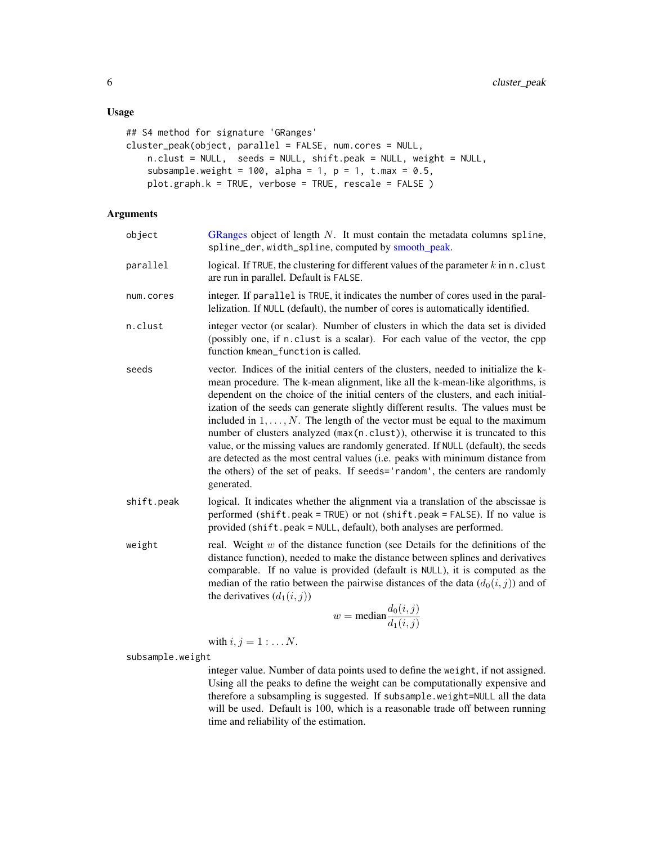```
## S4 method for signature 'GRanges'
cluster_peak(object, parallel = FALSE, num.cores = NULL,
    n.clust = NULL, seeds = NULL, shift.peak = NULL, weight = NULL,
    subsample.weight = 100, alpha = 1, p = 1, t.max = 0.5,
    plot.graph.k = TRUE, verbose = TRUE, rescale = FALSE )
```
#### Arguments

| object     | GRanges object of length $N$ . It must contain the metadata columns spline,<br>spline_der, width_spline, computed by smooth_peak.                                                                                                                                                                                                                                                                                                                                                                                                                                                                                                                                                                                                                                                         |
|------------|-------------------------------------------------------------------------------------------------------------------------------------------------------------------------------------------------------------------------------------------------------------------------------------------------------------------------------------------------------------------------------------------------------------------------------------------------------------------------------------------------------------------------------------------------------------------------------------------------------------------------------------------------------------------------------------------------------------------------------------------------------------------------------------------|
| parallel   | logical. If TRUE, the clustering for different values of the parameter $k$ in n. clust<br>are run in parallel. Default is FALSE.                                                                                                                                                                                                                                                                                                                                                                                                                                                                                                                                                                                                                                                          |
| num.cores  | integer. If parallel is TRUE, it indicates the number of cores used in the paral-<br>lelization. If NULL (default), the number of cores is automatically identified.                                                                                                                                                                                                                                                                                                                                                                                                                                                                                                                                                                                                                      |
| n.clust    | integer vector (or scalar). Number of clusters in which the data set is divided<br>(possibly one, if n. clust is a scalar). For each value of the vector, the cpp<br>function kmean_function is called.                                                                                                                                                                                                                                                                                                                                                                                                                                                                                                                                                                                   |
| seeds      | vector. Indices of the initial centers of the clusters, needed to initialize the k-<br>mean procedure. The k-mean alignment, like all the k-mean-like algorithms, is<br>dependent on the choice of the initial centers of the clusters, and each initial-<br>ization of the seeds can generate slightly different results. The values must be<br>included in $1, \ldots, N$ . The length of the vector must be equal to the maximum<br>number of clusters analyzed (max(n.clust)), otherwise it is truncated to this<br>value, or the missing values are randomly generated. If NULL (default), the seeds<br>are detected as the most central values (i.e. peaks with minimum distance from<br>the others) of the set of peaks. If seeds='random', the centers are randomly<br>generated. |
| shift.peak | logical. It indicates whether the alignment via a translation of the abscissae is<br>performed (shift.peak = TRUE) or not (shift.peak = FALSE). If no value is<br>provided (shift.peak = NULL, default), both analyses are performed.                                                                                                                                                                                                                                                                                                                                                                                                                                                                                                                                                     |
| weight     | real. Weight $w$ of the distance function (see Details for the definitions of the<br>distance function), needed to make the distance between splines and derivatives<br>comparable. If no value is provided (default is NULL), it is computed as the<br>median of the ratio between the pairwise distances of the data $(d_0(i, j))$ and of<br>the derivatives $(d_1(i, j))$<br>$w = \text{median} \frac{d_0(i,j)}{d_1(i,j)}$                                                                                                                                                                                                                                                                                                                                                             |

with 
$$
i, j = 1 : \ldots N
$$
.

subsample.weight

integer value. Number of data points used to define the weight, if not assigned. Using all the peaks to define the weight can be computationally expensive and therefore a subsampling is suggested. If subsample.weight=NULL all the data will be used. Default is 100, which is a reasonable trade off between running time and reliability of the estimation.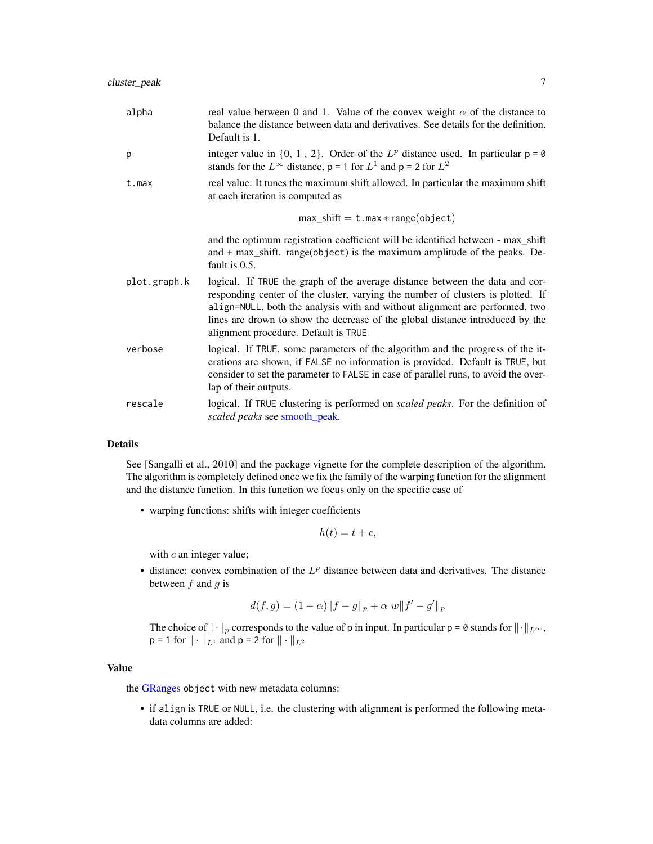<span id="page-6-0"></span>

| alpha        | real value between 0 and 1. Value of the convex weight $\alpha$ of the distance to<br>balance the distance between data and derivatives. See details for the definition.<br>Default is 1.                                                                                                                                                                               |
|--------------|-------------------------------------------------------------------------------------------------------------------------------------------------------------------------------------------------------------------------------------------------------------------------------------------------------------------------------------------------------------------------|
| p            | integer value in $\{0, 1, 2\}$ . Order of the $L^p$ distance used. In particular $p = 0$<br>stands for the $L^{\infty}$ distance, p = 1 for $L^{1}$ and p = 2 for $L^{2}$                                                                                                                                                                                               |
| t.max        | real value. It tunes the maximum shift allowed. In particular the maximum shift<br>at each iteration is computed as                                                                                                                                                                                                                                                     |
|              | $max\_shift = t.max * range(object)$                                                                                                                                                                                                                                                                                                                                    |
|              | and the optimum registration coefficient will be identified between - max_shift<br>and $+$ max_shift. range(object) is the maximum amplitude of the peaks. De-<br>fault is 0.5.                                                                                                                                                                                         |
| plot.graph.k | logical. If TRUE the graph of the average distance between the data and cor-<br>responding center of the cluster, varying the number of clusters is plotted. If<br>align=NULL, both the analysis with and without alignment are performed, two<br>lines are drown to show the decrease of the global distance introduced by the<br>alignment procedure. Default is TRUE |
| verbose      | logical. If TRUE, some parameters of the algorithm and the progress of the it-<br>erations are shown, if FALSE no information is provided. Default is TRUE, but<br>consider to set the parameter to FALSE in case of parallel runs, to avoid the over-<br>lap of their outputs.                                                                                         |
| rescale      | logical. If TRUE clustering is performed on <i>scaled peaks</i> . For the definition of<br>scaled peaks see smooth_peak.                                                                                                                                                                                                                                                |

#### Details

See [Sangalli et al., 2010] and the package vignette for the complete description of the algorithm. The algorithm is completely defined once we fix the family of the warping function for the alignment and the distance function. In this function we focus only on the specific case of

• warping functions: shifts with integer coefficients

$$
h(t) = t + c,
$$

with  $c$  an integer value;

• distance: convex combination of the  $L^p$  distance between data and derivatives. The distance between  $f$  and  $g$  is

$$
d(f,g) = (1 - \alpha) \|f - g\|_p + \alpha w \|f' - g'\|_p
$$

The choice of  $\|\cdot\|_p$  corresponds to the value of p in input. In particular p = 0 stands for  $\|\cdot\|_{L^{\infty}}$ ,  $p = 1$  for  $|| \cdot ||_{L^1}$  and  $p = 2$  for  $|| \cdot ||_{L^2}$ 

#### Value

the [GRanges](#page-0-0) object with new metadata columns:

• if align is TRUE or NULL, i.e. the clustering with alignment is performed the following metadata columns are added: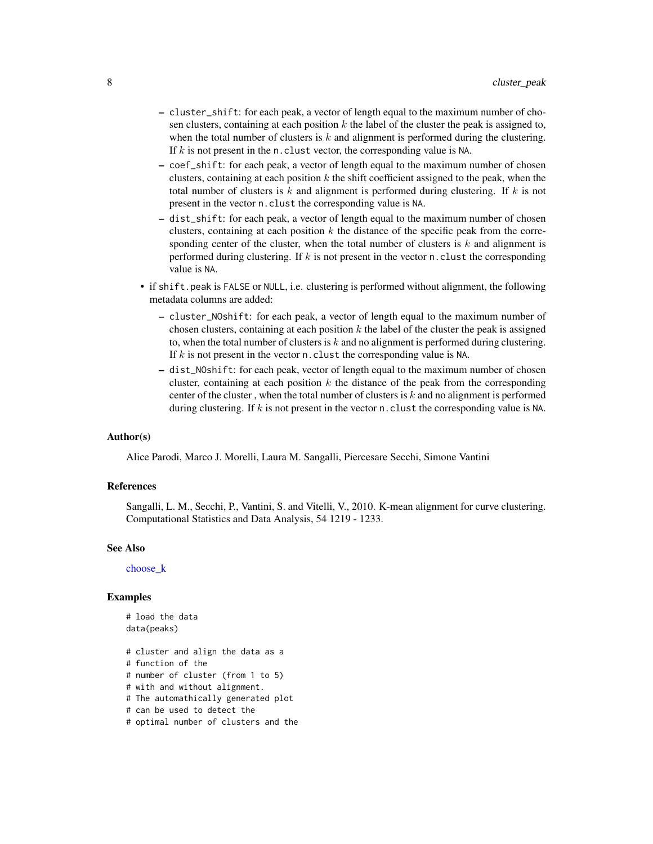- <span id="page-7-0"></span>– cluster\_shift: for each peak, a vector of length equal to the maximum number of chosen clusters, containing at each position k the label of the cluster the peak is assigned to, when the total number of clusters is  $k$  and alignment is performed during the clustering. If  $k$  is not present in the n.clust vector, the corresponding value is NA.
- coef\_shift: for each peak, a vector of length equal to the maximum number of chosen clusters, containing at each position  $k$  the shift coefficient assigned to the peak, when the total number of clusters is k and alignment is performed during clustering. If k is not present in the vector n.clust the corresponding value is NA.
- dist\_shift: for each peak, a vector of length equal to the maximum number of chosen clusters, containing at each position  $k$  the distance of the specific peak from the corresponding center of the cluster, when the total number of clusters is  $k$  and alignment is performed during clustering. If  $k$  is not present in the vector n.clust the corresponding value is NA.
- if shift.peak is FALSE or NULL, i.e. clustering is performed without alignment, the following metadata columns are added:
	- cluster\_NOshift: for each peak, a vector of length equal to the maximum number of chosen clusters, containing at each position  $k$  the label of the cluster the peak is assigned to, when the total number of clusters is  $k$  and no alignment is performed during clustering. If  $k$  is not present in the vector n.clust the corresponding value is NA.
	- dist\_NOshift: for each peak, vector of length equal to the maximum number of chosen cluster, containing at each position  $k$  the distance of the peak from the corresponding center of the cluster, when the total number of clusters is  $k$  and no alignment is performed during clustering. If k is not present in the vector n. clust the corresponding value is NA.

#### Author(s)

Alice Parodi, Marco J. Morelli, Laura M. Sangalli, Piercesare Secchi, Simone Vantini

#### References

Sangalli, L. M., Secchi, P., Vantini, S. and Vitelli, V., 2010. K-mean alignment for curve clustering. Computational Statistics and Data Analysis, 54 1219 - 1233.

#### See Also

[choose\\_k](#page-3-1)

#### Examples

```
# load the data
data(peaks)
```
- # cluster and align the data as a
- # function of the
- # number of cluster (from 1 to 5)
- # with and without alignment.
- # The automathically generated plot
- # can be used to detect the
- # optimal number of clusters and the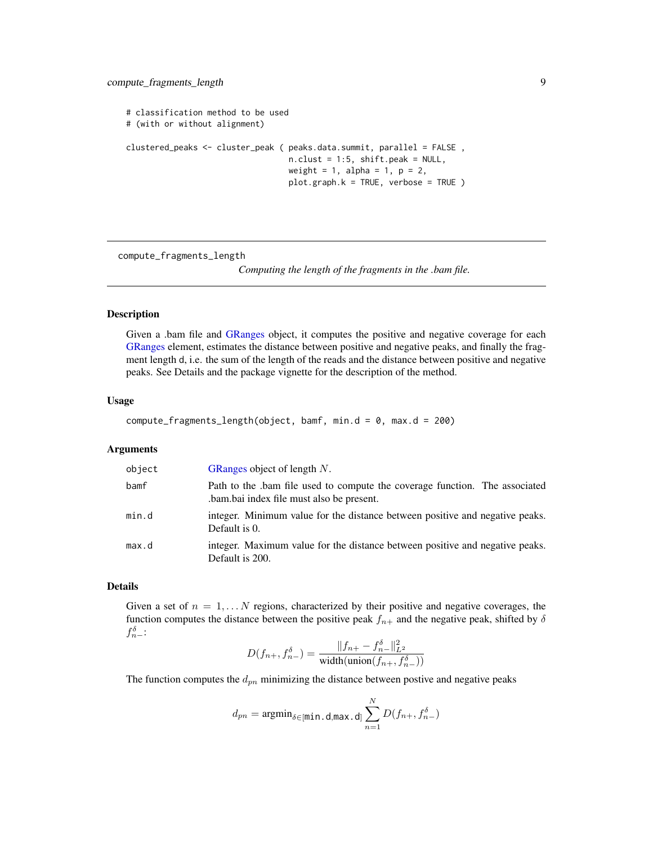```
# classification method to be used
# (with or without alignment)
clustered_peaks <- cluster_peak ( peaks.data.summit, parallel = FALSE ,
                                  n.clust = 1:5, shift.peak = NULL,
                                  weight = 1, alpha = 1, p = 2,
                                  plot.graph.k = TRUE, verbose = TRUE )
```
<span id="page-8-1"></span>compute\_fragments\_length

*Computing the length of the fragments in the .bam file.*

#### Description

Given a .bam file and [GRanges](#page-0-0) object, it computes the positive and negative coverage for each [GRanges](#page-0-0) element, estimates the distance between positive and negative peaks, and finally the fragment length d, i.e. the sum of the length of the reads and the distance between positive and negative peaks. See Details and the package vignette for the description of the method.

#### Usage

```
compute_fragments_length(object, bamf, min.d = 0, max.d = 200)
```
#### Arguments

| object | GRanges object of length $N$ .                                                                                         |
|--------|------------------------------------------------------------------------------------------------------------------------|
| bamf   | Path to the bam file used to compute the coverage function. The associated<br>bam.bai index file must also be present. |
| min.d  | integer. Minimum value for the distance between positive and negative peaks.<br>Default is 0.                          |
| max.d  | integer. Maximum value for the distance between positive and negative peaks.<br>Default is 200.                        |

#### Details

Given a set of  $n = 1, \ldots N$  regions, characterized by their positive and negative coverages, the function computes the distance between the positive peak  $f_{n+}$  and the negative peak, shifted by  $\delta$  $f_{n-}^{\delta}$ :

$$
D(f_{n+}, f_{n-}^{\delta}) = \frac{\|f_{n+} - f_{n-}^{\delta}\|_{L^2}^2}{\text{width}(\text{union}(f_{n+}, f_{n-}^{\delta}))}
$$

The function computes the  $d_{pn}$  minimizing the distance between postive and negative peaks

$$
d_{pn} = \text{argmin}_{\delta \in [\text{min.d,max.d}]} \sum_{n=1}^N D(f_{n+}, f_{n-}^{\delta})
$$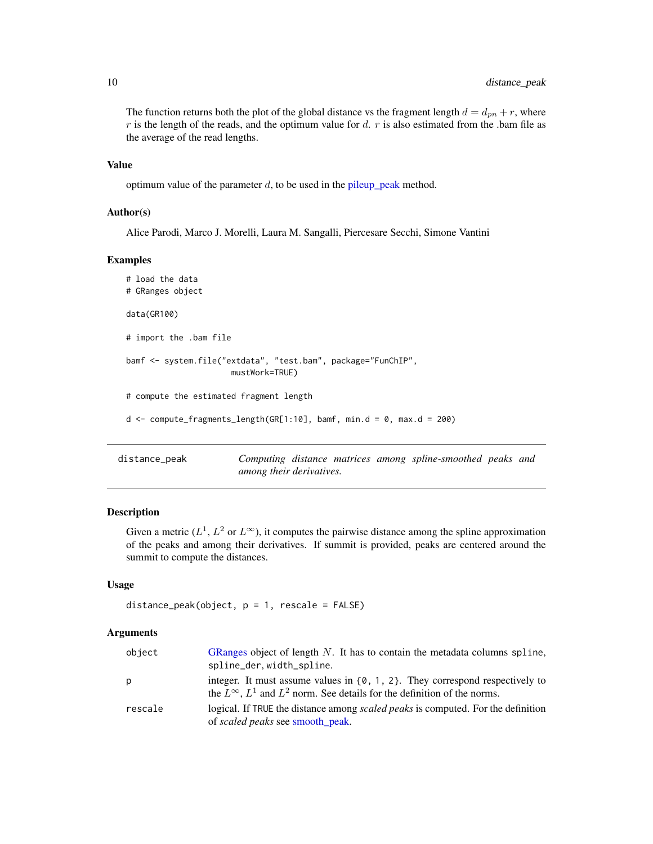The function returns both the plot of the global distance vs the fragment length  $d = d_{pn} + r$ , where  $r$  is the length of the reads, and the optimum value for  $d$ .  $r$  is also estimated from the .bam file as the average of the read lengths.

#### Value

optimum value of the parameter  $d$ , to be used in the [pileup\\_peak](#page-14-1) method.

#### Author(s)

Alice Parodi, Marco J. Morelli, Laura M. Sangalli, Piercesare Secchi, Simone Vantini

#### Examples

```
# load the data
# GRanges object
data(GR100)
# import the .bam file
bamf <- system.file("extdata", "test.bam", package="FunChIP",
                      mustWork=TRUE)
# compute the estimated fragment length
d \leq compute_fragments_length(GR[1:10], bamf, min.d = 0, max.d = 200)
```
<span id="page-9-1"></span>distance\_peak *Computing distance matrices among spline-smoothed peaks and among their derivatives.*

#### Description

Given a metric ( $L^1$ ,  $L^2$  or  $L^{\infty}$ ), it computes the pairwise distance among the spline approximation of the peaks and among their derivatives. If summit is provided, peaks are centered around the summit to compute the distances.

#### Usage

```
distance_peak(object, p = 1, rescale = FALSE)
```
#### Arguments

| object  | GRanges object of length $N$ . It has to contain the metadata columns spline,<br>spline_der, width_spline.                                                                     |
|---------|--------------------------------------------------------------------------------------------------------------------------------------------------------------------------------|
| p       | integer. It must assume values in $\{0, 1, 2\}$ . They correspond respectively to<br>the $L^{\infty}$ , $L^{1}$ and $L^{2}$ norm. See details for the definition of the norms. |
| rescale | logical. If TRUE the distance among <i>scaled peaks</i> is computed. For the definition<br>of <i>scaled peaks</i> see <b>smooth</b> peak.                                      |

<span id="page-9-0"></span>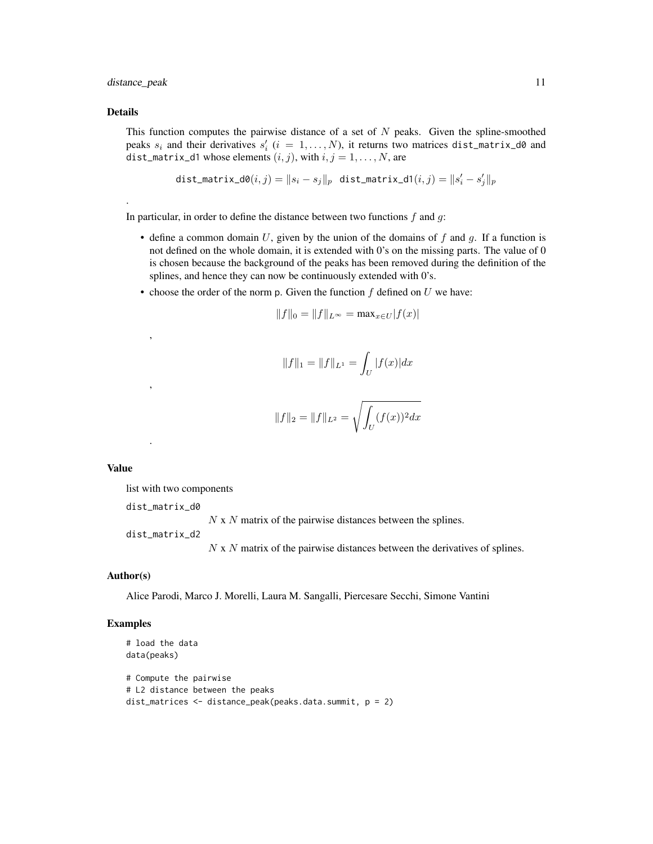#### distance\_peak 11

#### Details

.

This function computes the pairwise distance of a set of  $N$  peaks. Given the spline-smoothed peaks  $s_i$  and their derivatives  $s'_i$  ( $i = 1, ..., N$ ), it returns two matrices dist\_matrix\_d0 and dist\_matrix\_d1 whose elements  $(i, j)$ , with  $i, j = 1, ..., N$ , are

$$
\texttt{dist\_matrix\_d0}(i,j) = \|s_i - s_j\|_p \text{ dist\_matrix\_d1}(i,j) = \|s'_i - s'_j\|_p
$$

In particular, in order to define the distance between two functions  $f$  and  $g$ :

- define a common domain U, given by the union of the domains of f and g. If a function is not defined on the whole domain, it is extended with 0's on the missing parts. The value of 0 is chosen because the background of the peaks has been removed during the definition of the splines, and hence they can now be continuously extended with 0's.
- choose the order of the norm p. Given the function  $f$  defined on  $U$  we have:

$$
||f||_0 = ||f||_{L^{\infty}} = \max_{x \in U} |f(x)|
$$

$$
||f||_1 = ||f||_{L^1} = \int_U |f(x)| dx
$$

$$
||f||_2 = ||f||_{L^2} = \sqrt{\int_U (f(x))^2 dx}
$$

#### Value

list with two components

dist\_matrix\_d0

,

,

.

 $N \times N$  matrix of the pairwise distances between the splines.

dist\_matrix\_d2

N x N matrix of the pairwise distances between the derivatives of splines.

#### Author(s)

Alice Parodi, Marco J. Morelli, Laura M. Sangalli, Piercesare Secchi, Simone Vantini

#### Examples

```
# load the data
data(peaks)
# Compute the pairwise
# L2 distance between the peaks
dist_matrices <- distance_peak(peaks.data.summit, p = 2)
```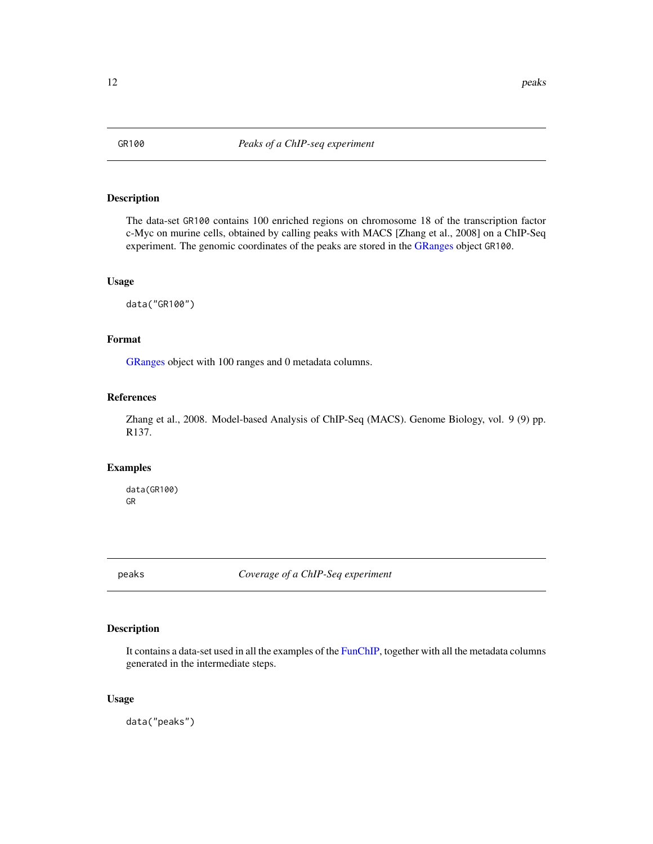<span id="page-11-0"></span>

#### Description

The data-set GR100 contains 100 enriched regions on chromosome 18 of the transcription factor c-Myc on murine cells, obtained by calling peaks with MACS [Zhang et al., 2008] on a ChIP-Seq experiment. The genomic coordinates of the peaks are stored in the [GRanges](#page-0-0) object GR100.

#### Usage

data("GR100")

#### Format

[GRanges](#page-0-0) object with 100 ranges and 0 metadata columns.

#### References

Zhang et al., 2008. Model-based Analysis of ChIP-Seq (MACS). Genome Biology, vol. 9 (9) pp. R137.

#### Examples

data(GR100) GR

peaks *Coverage of a ChIP-Seq experiment*

#### Description

It contains a data-set used in all the examples of the [FunChIP,](#page-1-1) together with all the metadata columns generated in the intermediate steps.

#### Usage

data("peaks")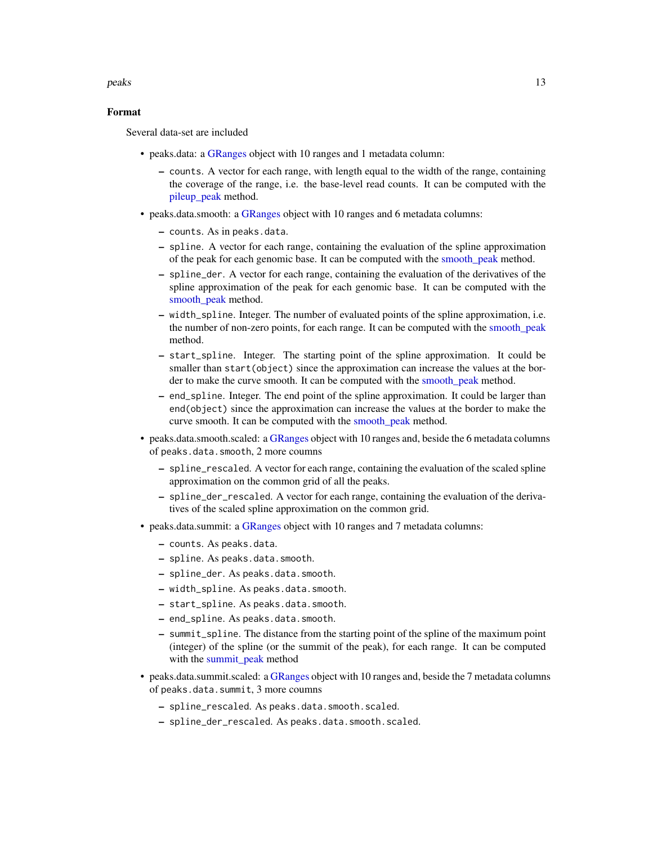#### <span id="page-12-0"></span>peaks and the set of the set of the set of the set of the set of the set of the set of the set of the set of the set of the set of the set of the set of the set of the set of the set of the set of the set of the set of the

#### Format

Several data-set are included

- peaks.data: a [GRanges](#page-0-0) object with 10 ranges and 1 metadata column:
	- counts. A vector for each range, with length equal to the width of the range, containing the coverage of the range, i.e. the base-level read counts. It can be computed with the [pileup\\_peak](#page-14-1) method.
- peaks.data.smooth: a [GRanges](#page-0-0) object with 10 ranges and 6 metadata columns:
	- counts. As in peaks.data.
	- spline. A vector for each range, containing the evaluation of the spline approximation of the peak for each genomic base. It can be computed with the [smooth\\_peak](#page-19-1) method.
	- spline\_der. A vector for each range, containing the evaluation of the derivatives of the spline approximation of the peak for each genomic base. It can be computed with the [smooth\\_peak](#page-19-1) method.
	- width\_spline. Integer. The number of evaluated points of the spline approximation, i.e. the number of non-zero points, for each range. It can be computed with the [smooth\\_peak](#page-19-1) method.
	- start\_spline. Integer. The starting point of the spline approximation. It could be smaller than start(object) since the approximation can increase the values at the border to make the curve smooth. It can be computed with the [smooth\\_peak](#page-19-1) method.
	- end\_spline. Integer. The end point of the spline approximation. It could be larger than end(object) since the approximation can increase the values at the border to make the curve smooth. It can be computed with the [smooth\\_peak](#page-19-1) method.
- peaks.data.smooth.scaled: a [GRanges](#page-0-0) object with 10 ranges and, beside the 6 metadata columns of peaks.data.smooth, 2 more coumns
	- spline\_rescaled. A vector for each range, containing the evaluation of the scaled spline approximation on the common grid of all the peaks.
	- spline\_der\_rescaled. A vector for each range, containing the evaluation of the derivatives of the scaled spline approximation on the common grid.
- peaks.data.summit: a [GRanges](#page-0-0) object with 10 ranges and 7 metadata columns:
	- counts. As peaks.data.
	- spline. As peaks.data.smooth.
	- spline\_der. As peaks.data.smooth.
	- width\_spline. As peaks.data.smooth.
	- start\_spline. As peaks.data.smooth.
	- end\_spline. As peaks.data.smooth.
	- summit\_spline. The distance from the starting point of the spline of the maximum point (integer) of the spline (or the summit of the peak), for each range. It can be computed with the [summit\\_peak](#page-22-1) method
- peaks.data.summit.scaled: a [GRanges](#page-0-0) object with 10 ranges and, beside the 7 metadata columns of peaks.data.summit, 3 more coumns
	- spline\_rescaled. As peaks.data.smooth.scaled.
	- spline\_der\_rescaled. As peaks.data.smooth.scaled.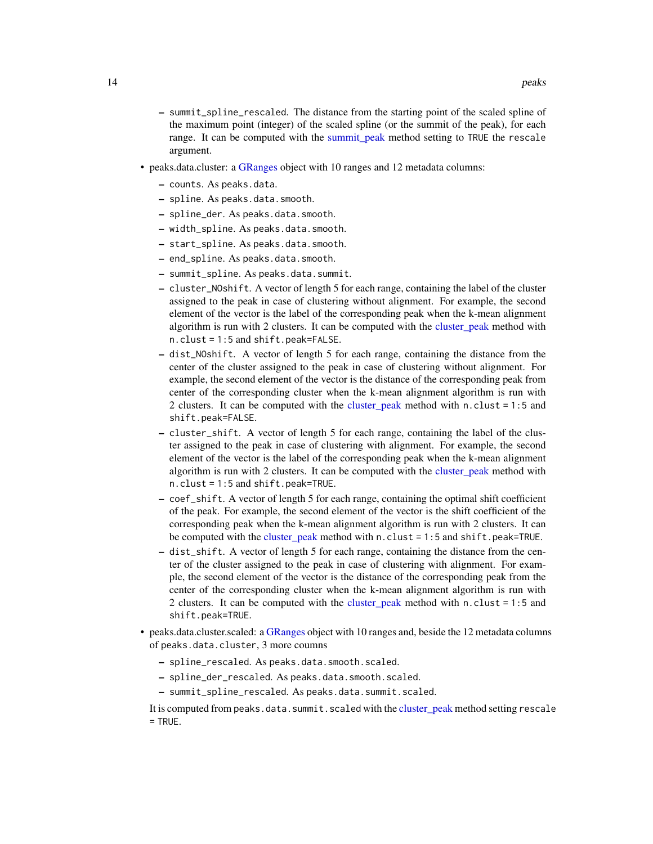- <span id="page-13-0"></span>– summit\_spline\_rescaled. The distance from the starting point of the scaled spline of the maximum point (integer) of the scaled spline (or the summit of the peak), for each range. It can be computed with the summit peak method setting to TRUE the rescale argument.
- peaks.data.cluster: a [GRanges](#page-0-0) object with 10 ranges and 12 metadata columns:
	- counts. As peaks.data.
	- spline. As peaks.data.smooth.
	- spline\_der. As peaks.data.smooth.
	- width\_spline. As peaks.data.smooth.
	- start\_spline. As peaks.data.smooth.
	- end\_spline. As peaks.data.smooth.
	- summit\_spline. As peaks.data.summit.
	- cluster\_NOshift. A vector of length 5 for each range, containing the label of the cluster assigned to the peak in case of clustering without alignment. For example, the second element of the vector is the label of the corresponding peak when the k-mean alignment algorithm is run with 2 clusters. It can be computed with the [cluster\\_peak](#page-4-1) method with n.clust = 1:5 and shift.peak=FALSE.
	- dist\_NOshift. A vector of length 5 for each range, containing the distance from the center of the cluster assigned to the peak in case of clustering without alignment. For example, the second element of the vector is the distance of the corresponding peak from center of the corresponding cluster when the k-mean alignment algorithm is run with 2 clusters. It can be computed with the [cluster\\_peak](#page-4-1) method with n.clust = 1:5 and shift.peak=FALSE.
	- cluster\_shift. A vector of length 5 for each range, containing the label of the cluster assigned to the peak in case of clustering with alignment. For example, the second element of the vector is the label of the corresponding peak when the k-mean alignment algorithm is run with 2 clusters. It can be computed with the [cluster\\_peak](#page-4-1) method with n.clust = 1:5 and shift.peak=TRUE.
	- coef\_shift. A vector of length 5 for each range, containing the optimal shift coefficient of the peak. For example, the second element of the vector is the shift coefficient of the corresponding peak when the k-mean alignment algorithm is run with 2 clusters. It can be computed with the [cluster\\_peak](#page-4-1) method with  $n$ .clust = 1:5 and shift.peak=TRUE.
	- dist\_shift. A vector of length 5 for each range, containing the distance from the center of the cluster assigned to the peak in case of clustering with alignment. For example, the second element of the vector is the distance of the corresponding peak from the center of the corresponding cluster when the k-mean alignment algorithm is run with 2 clusters. It can be computed with the [cluster\\_peak](#page-4-1) method with n.clust = 1:5 and shift.peak=TRUE.
- peaks.data.cluster.scaled: a [GRanges](#page-0-0) object with 10 ranges and, beside the 12 metadata columns of peaks.data.cluster, 3 more coumns
	- spline\_rescaled. As peaks.data.smooth.scaled.
	- spline\_der\_rescaled. As peaks.data.smooth.scaled.
	- summit\_spline\_rescaled. As peaks.data.summit.scaled.

It is computed from peaks.data.summit.scaled with the [cluster\\_peak](#page-4-1) method setting rescale  $=$  TRUE.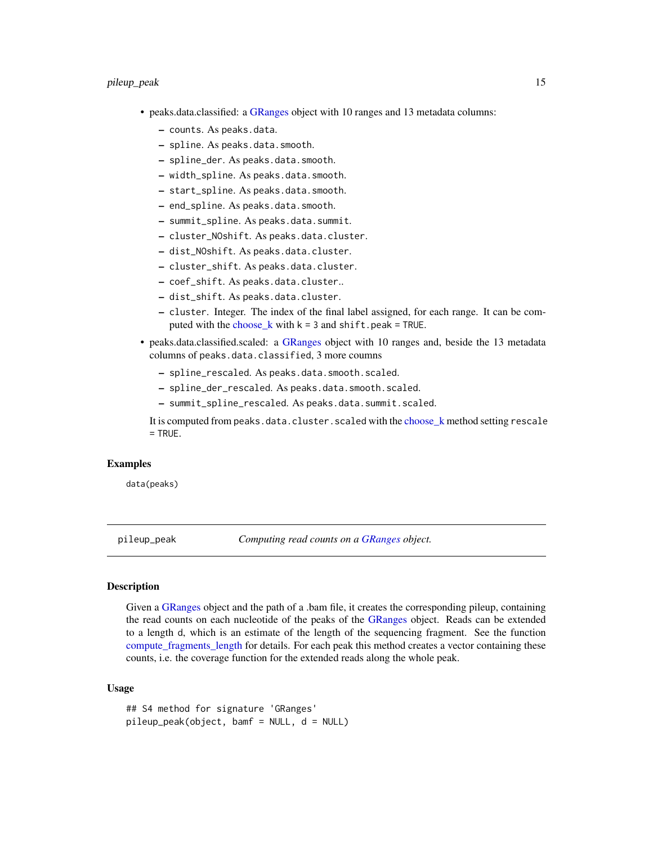- <span id="page-14-0"></span>• peaks.data.classified: a [GRanges](#page-0-0) object with 10 ranges and 13 metadata columns:
	- counts. As peaks.data.
	- spline. As peaks.data.smooth.
	- spline\_der. As peaks.data.smooth.
	- width\_spline. As peaks.data.smooth.
	- start\_spline. As peaks.data.smooth.
	- end\_spline. As peaks.data.smooth.
	- summit\_spline. As peaks.data.summit.
	- cluster\_NOshift. As peaks.data.cluster.
	- dist\_NOshift. As peaks.data.cluster.
	- cluster\_shift. As peaks.data.cluster.
	- coef\_shift. As peaks.data.cluster..
	- dist\_shift. As peaks.data.cluster.
	- cluster. Integer. The index of the final label assigned, for each range. It can be computed with the [choose\\_k](#page-3-1) with  $k = 3$  and shift.peak = TRUE.
- peaks.data.classified.scaled: a [GRanges](#page-0-0) object with 10 ranges and, beside the 13 metadata columns of peaks.data.classified, 3 more coumns
	- spline\_rescaled. As peaks.data.smooth.scaled.
	- spline\_der\_rescaled. As peaks.data.smooth.scaled.
	- summit\_spline\_rescaled. As peaks.data.summit.scaled.

It is computed from peaks.data.cluster.scaled with the [choose\\_k](#page-3-1) method setting rescale  $=$  TRUE.

#### Examples

data(peaks)

pileup\_peak *Computing read counts on a [GRanges](#page-0-0) object.*

#### <span id="page-14-1"></span>Description

Given a [GRanges](#page-0-0) object and the path of a .bam file, it creates the corresponding pileup, containing the read counts on each nucleotide of the peaks of the [GRanges](#page-0-0) object. Reads can be extended to a length d, which is an estimate of the length of the sequencing fragment. See the function [compute\\_fragments\\_length](#page-8-1) for details. For each peak this method creates a vector containing these counts, i.e. the coverage function for the extended reads along the whole peak.

#### Usage

```
## S4 method for signature 'GRanges'
pileup_peak(object, bamf = NULL, d = NULL)
```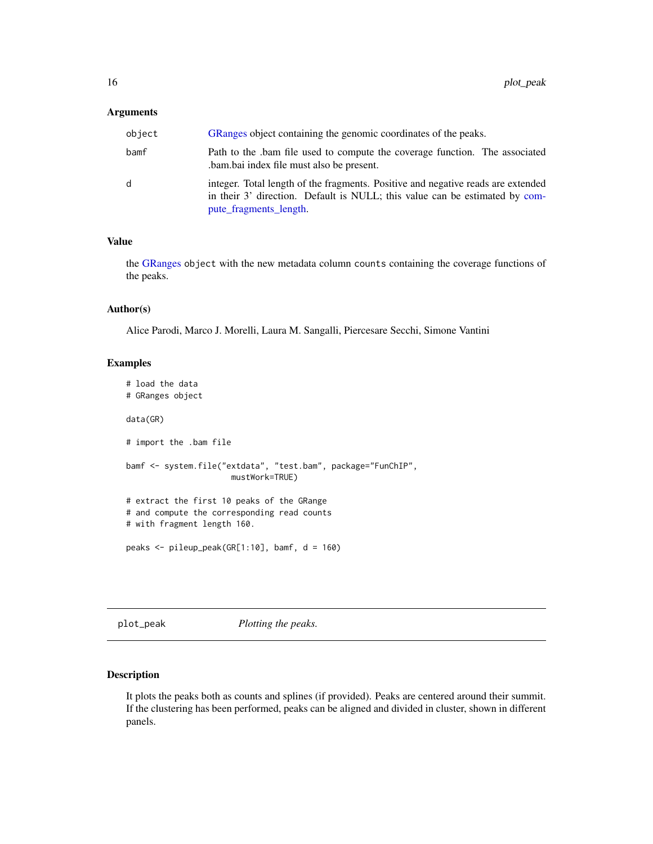#### <span id="page-15-0"></span>**Arguments**

| object | GRanges object containing the genomic coordinates of the peaks.                                                                                                                           |
|--------|-------------------------------------------------------------------------------------------------------------------------------------------------------------------------------------------|
| bamf   | Path to the bam file used to compute the coverage function. The associated<br>bam.bai index file must also be present.                                                                    |
| d      | integer. Total length of the fragments. Positive and negative reads are extended<br>in their 3' direction. Default is NULL; this value can be estimated by com-<br>pute_fragments_length. |

#### Value

the [GRanges](#page-0-0) object with the new metadata column counts containing the coverage functions of the peaks.

#### Author(s)

Alice Parodi, Marco J. Morelli, Laura M. Sangalli, Piercesare Secchi, Simone Vantini

#### Examples

```
# load the data
# GRanges object
data(GR)
# import the .bam file
bamf <- system.file("extdata", "test.bam", package="FunChIP",
                      mustWork=TRUE)
# extract the first 10 peaks of the GRange
# and compute the corresponding read counts
# with fragment length 160.
peaks <- pileup_peak(GR[1:10], bamf, d = 160)
```
plot\_peak *Plotting the peaks.*

#### <span id="page-15-1"></span>Description

It plots the peaks both as counts and splines (if provided). Peaks are centered around their summit. If the clustering has been performed, peaks can be aligned and divided in cluster, shown in different panels.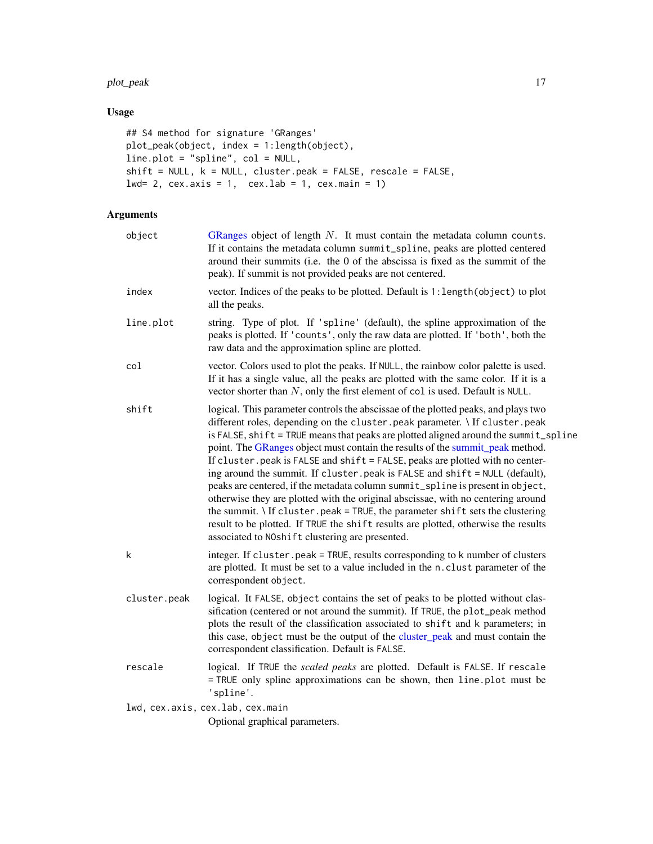#### <span id="page-16-0"></span>plot\_peak 17

### Usage

```
## S4 method for signature 'GRanges'
plot_peak(object, index = 1:length(object),
line.plot = "spline", col = NULL,
shift = NULL, k = NULL, cluster.peak = FALSE, rescale = FALSE,lwd= 2, cex.axis = 1, cex.lab = 1, cex.main = 1)
```
#### Arguments

| object       | GRanges object of length $N$ . It must contain the metadata column counts.<br>If it contains the metadata column summit_spline, peaks are plotted centered<br>around their summits (i.e. the 0 of the abscissa is fixed as the summit of the<br>peak). If summit is not provided peaks are not centered.                                                                                                                                                                                                                                                                                                                                                                                                                                                                                                                                                                                                       |
|--------------|----------------------------------------------------------------------------------------------------------------------------------------------------------------------------------------------------------------------------------------------------------------------------------------------------------------------------------------------------------------------------------------------------------------------------------------------------------------------------------------------------------------------------------------------------------------------------------------------------------------------------------------------------------------------------------------------------------------------------------------------------------------------------------------------------------------------------------------------------------------------------------------------------------------|
| index        | vector. Indices of the peaks to be plotted. Default is 1: length (object) to plot<br>all the peaks.                                                                                                                                                                                                                                                                                                                                                                                                                                                                                                                                                                                                                                                                                                                                                                                                            |
| line.plot    | string. Type of plot. If 'spline' (default), the spline approximation of the<br>peaks is plotted. If 'counts', only the raw data are plotted. If 'both', both the<br>raw data and the approximation spline are plotted.                                                                                                                                                                                                                                                                                                                                                                                                                                                                                                                                                                                                                                                                                        |
| col          | vector. Colors used to plot the peaks. If NULL, the rainbow color palette is used.<br>If it has a single value, all the peaks are plotted with the same color. If it is a<br>vector shorter than $N$ , only the first element of col is used. Default is NULL.                                                                                                                                                                                                                                                                                                                                                                                                                                                                                                                                                                                                                                                 |
| shift        | logical. This parameter controls the abscissae of the plotted peaks, and plays two<br>different roles, depending on the cluster. peak parameter. \ If cluster. peak<br>is FALSE, shift = TRUE means that peaks are plotted aligned around the summit_spline<br>point. The GRanges object must contain the results of the summit_peak method.<br>If cluster. peak is FALSE and shift = FALSE, peaks are plotted with no center-<br>ing around the summit. If cluster. peak is FALSE and shift = NULL (default),<br>peaks are centered, if the metadata column summit_spline is present in object,<br>otherwise they are plotted with the original abscissae, with no centering around<br>the summit. \ If cluster.peak = TRUE, the parameter shift sets the clustering<br>result to be plotted. If TRUE the shift results are plotted, otherwise the results<br>associated to NOshift clustering are presented. |
| k            | integer. If cluster.peak = TRUE, results corresponding to k number of clusters<br>are plotted. It must be set to a value included in the n.clust parameter of the<br>correspondent object.                                                                                                                                                                                                                                                                                                                                                                                                                                                                                                                                                                                                                                                                                                                     |
| cluster.peak | logical. It FALSE, object contains the set of peaks to be plotted without clas-<br>sification (centered or not around the summit). If TRUE, the plot_peak method<br>plots the result of the classification associated to shift and k parameters; in<br>this case, object must be the output of the cluster_peak and must contain the<br>correspondent classification. Default is FALSE.                                                                                                                                                                                                                                                                                                                                                                                                                                                                                                                        |
| rescale      | logical. If TRUE the scaled peaks are plotted. Default is FALSE. If rescale<br>= TRUE only spline approximations can be shown, then line .plot must be<br>'spline'.                                                                                                                                                                                                                                                                                                                                                                                                                                                                                                                                                                                                                                                                                                                                            |
|              | lwd, cex.axis, cex.lab, cex.main<br>Optional graphical parameters.                                                                                                                                                                                                                                                                                                                                                                                                                                                                                                                                                                                                                                                                                                                                                                                                                                             |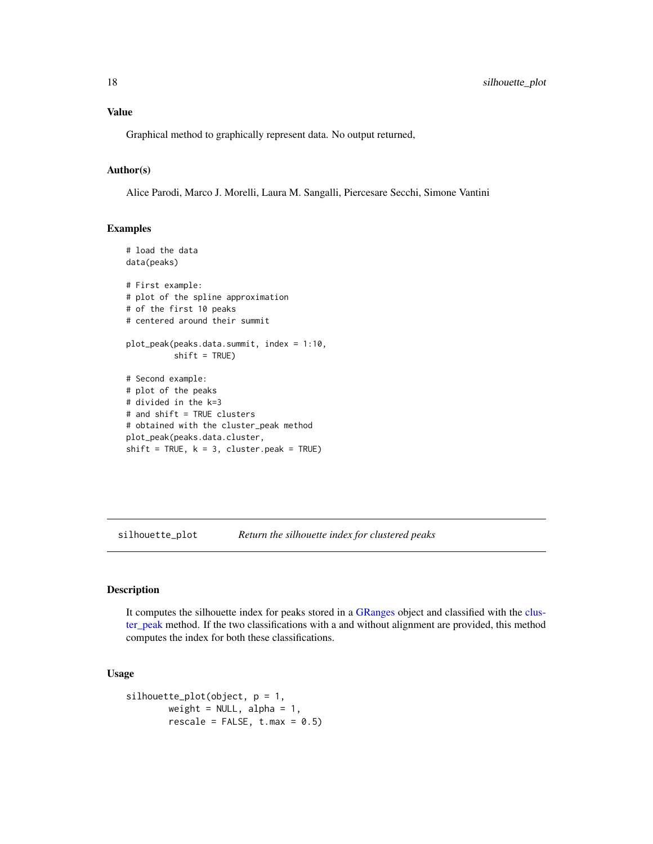Graphical method to graphically represent data. No output returned,

#### Author(s)

Alice Parodi, Marco J. Morelli, Laura M. Sangalli, Piercesare Secchi, Simone Vantini

#### Examples

```
# load the data
data(peaks)
# First example:
# plot of the spline approximation
# of the first 10 peaks
# centered around their summit
plot_peak(peaks.data.summit, index = 1:10,
          shift = TRUE)# Second example:
# plot of the peaks
# divided in the k=3
# and shift = TRUE clusters
# obtained with the cluster_peak method
plot_peak(peaks.data.cluster,
shift = TRUE, k = 3, cluster.peak = TRUE)
```
silhouette\_plot *Return the silhouette index for clustered peaks*

#### Description

It computes the silhouette index for peaks stored in a [GRanges](#page-0-0) object and classified with the [clus](#page-4-1)[ter\\_peak](#page-4-1) method. If the two classifications with a and without alignment are provided, this method computes the index for both these classifications.

#### Usage

```
silhouette_plot(object, p = 1,
       weight = NULL, alpha = 1,
       rescale = FALSE, t.max = 0.5)
```
<span id="page-17-0"></span>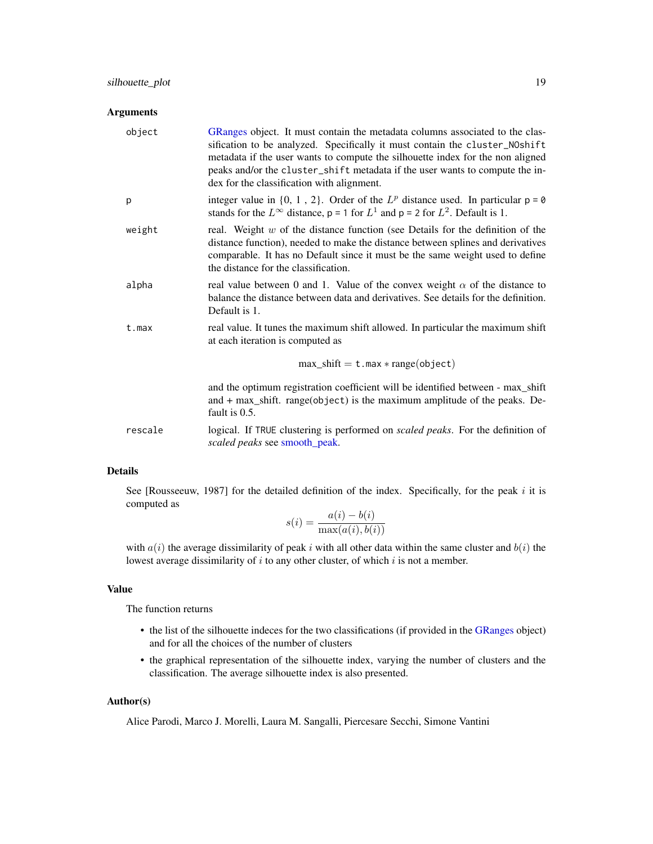#### <span id="page-18-0"></span>Arguments

| object    | GRanges object. It must contain the metadata columns associated to the clas-<br>sification to be analyzed. Specifically it must contain the cluster_NOshift<br>metadata if the user wants to compute the silhouette index for the non aligned<br>peaks and/or the cluster_shift metadata if the user wants to compute the in-<br>dex for the classification with alignment. |
|-----------|-----------------------------------------------------------------------------------------------------------------------------------------------------------------------------------------------------------------------------------------------------------------------------------------------------------------------------------------------------------------------------|
| p         | integer value in $\{0, 1, 2\}$ . Order of the $L^p$ distance used. In particular $p = 0$<br>stands for the $L^{\infty}$ distance, p = 1 for $L^{1}$ and p = 2 for $L^{2}$ . Default is 1.                                                                                                                                                                                   |
| weight    | real. Weight $w$ of the distance function (see Details for the definition of the<br>distance function), needed to make the distance between splines and derivatives<br>comparable. It has no Default since it must be the same weight used to define<br>the distance for the classification.                                                                                |
| alpha     | real value between 0 and 1. Value of the convex weight $\alpha$ of the distance to<br>balance the distance between data and derivatives. See details for the definition.<br>Default is 1.                                                                                                                                                                                   |
| $t$ . max | real value. It tunes the maximum shift allowed. In particular the maximum shift<br>at each iteration is computed as                                                                                                                                                                                                                                                         |
|           | $max\_shift = t.max * range(object)$                                                                                                                                                                                                                                                                                                                                        |
|           | and the optimum registration coefficient will be identified between - max_shift<br>and $+$ max_shift. range(object) is the maximum amplitude of the peaks. De-<br>fault is 0.5.                                                                                                                                                                                             |
| rescale   | logical. If TRUE clustering is performed on <i>scaled peaks</i> . For the definition of<br>scaled peaks see smooth_peak.                                                                                                                                                                                                                                                    |

#### Details

See [Rousseeuw, 1987] for the detailed definition of the index. Specifically, for the peak  $i$  it is computed as

$$
s(i) = \frac{a(i) - b(i)}{\max(a(i), b(i))}
$$

with  $a(i)$  the average dissimilarity of peak i with all other data within the same cluster and  $b(i)$  the lowest average dissimilarity of  $i$  to any other cluster, of which  $i$  is not a member.

#### Value

The function returns

- the list of the silhouette indeces for the two classifications (if provided in the [GRanges](#page-0-0) object) and for all the choices of the number of clusters
- the graphical representation of the silhouette index, varying the number of clusters and the classification. The average silhouette index is also presented.

#### Author(s)

Alice Parodi, Marco J. Morelli, Laura M. Sangalli, Piercesare Secchi, Simone Vantini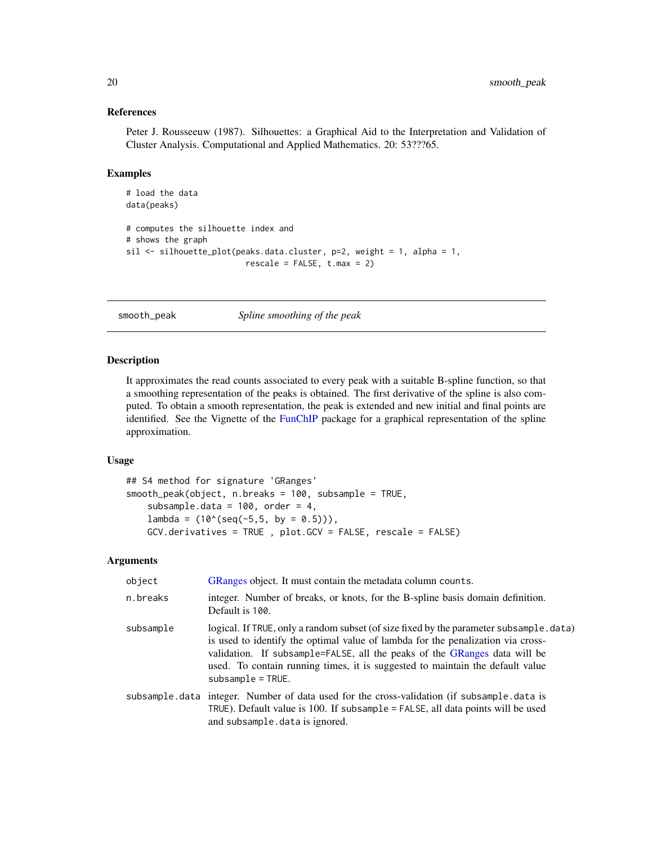#### <span id="page-19-0"></span>References

Peter J. Rousseeuw (1987). Silhouettes: a Graphical Aid to the Interpretation and Validation of Cluster Analysis. Computational and Applied Mathematics. 20: 53???65.

#### Examples

```
# load the data
data(peaks)
# computes the silhouette index and
# shows the graph
sil <- silhouette_plot(peaks.data.cluster, p=2, weight = 1, alpha = 1,
                         rescale = FALSE, t.max = 2)
```
smooth\_peak *Spline smoothing of the peak*

#### <span id="page-19-1"></span>Description

It approximates the read counts associated to every peak with a suitable B-spline function, so that a smoothing representation of the peaks is obtained. The first derivative of the spline is also computed. To obtain a smooth representation, the peak is extended and new initial and final points are identified. See the Vignette of the [FunChIP](#page-1-1) package for a graphical representation of the spline approximation.

#### Usage

```
## S4 method for signature 'GRanges'
smooth_peak(object, n.breaks = 100, subsample = TRUE,
    subsample.data = 100, order = 4,
   lambda = (10^(seq(-5,5, by = 0.5))),GCV.derivatives = TRUE , plot.GCV = FALSE, rescale = FALSE)
```
#### Arguments

| object    | GRanges object. It must contain the metadata column counts.                                                                                                                                                                                                                                                                                                     |
|-----------|-----------------------------------------------------------------------------------------------------------------------------------------------------------------------------------------------------------------------------------------------------------------------------------------------------------------------------------------------------------------|
| n.breaks  | integer. Number of breaks, or knots, for the B-spline basis domain definition.<br>Default is 100.                                                                                                                                                                                                                                                               |
| subsample | logical. If TRUE, only a random subset (of size fixed by the parameter subsample. data)<br>is used to identify the optimal value of lambda for the penalization via cross-<br>validation. If subsample=FALSE, all the peaks of the GRanges data will be<br>used. To contain running times, it is suggested to maintain the default value<br>$subsample = TRUE.$ |
|           | subsample data integer. Number of data used for the cross-validation (if subsample data is<br>TRUE). Default value is 100. If subsample = FALSE, all data points will be used<br>and subsample.data is ignored.                                                                                                                                                 |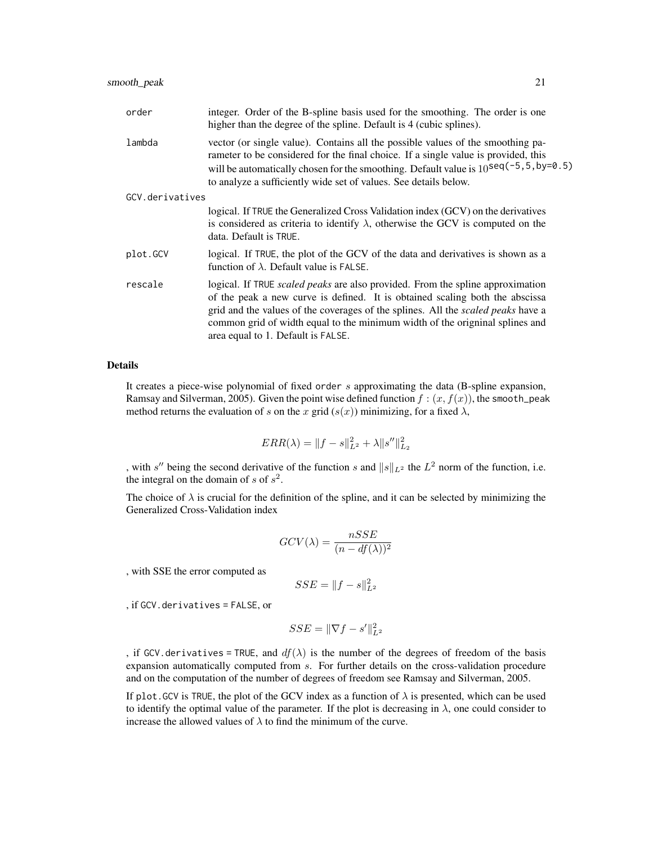| order           | integer. Order of the B-spline basis used for the smoothing. The order is one<br>higher than the degree of the spline. Default is 4 (cubic splines).                                                                                                                                                                                                                            |
|-----------------|---------------------------------------------------------------------------------------------------------------------------------------------------------------------------------------------------------------------------------------------------------------------------------------------------------------------------------------------------------------------------------|
| lambda          | vector (or single value). Contains all the possible values of the smoothing pa-<br>rameter to be considered for the final choice. If a single value is provided, this<br>will be automatically chosen for the smoothing. Default value is $10^{\text{seq}(-5, 5, \text{by=0.5})}$<br>to analyze a sufficiently wide set of values. See details below.                           |
| GCV.derivatives |                                                                                                                                                                                                                                                                                                                                                                                 |
|                 | logical. If TRUE the Generalized Cross Validation index (GCV) on the derivatives<br>is considered as criteria to identify $\lambda$ , otherwise the GCV is computed on the<br>data. Default is TRUE.                                                                                                                                                                            |
| plot.GCV        | logical. If TRUE, the plot of the GCV of the data and derivatives is shown as a<br>function of $\lambda$ . Default value is FALSE.                                                                                                                                                                                                                                              |
| rescale         | logical. If TRUE <i>scaled peaks</i> are also provided. From the spline approximation<br>of the peak a new curve is defined. It is obtained scaling both the abscissa<br>grid and the values of the coverages of the splines. All the scaled peaks have a<br>common grid of width equal to the minimum width of the origninal splines and<br>area equal to 1. Default is FALSE. |

#### Details

It creates a piece-wise polynomial of fixed order s approximating the data (B-spline expansion, Ramsay and Silverman, 2005). Given the point wise defined function  $f : (x, f(x))$ , the smooth\_peak method returns the evaluation of s on the x grid  $(s(x))$  minimizing, for a fixed  $\lambda$ ,

$$
ERR(\lambda) = ||f - s||_{L^2}^2 + \lambda ||s''||_{L_2}^2
$$

, with s'' being the second derivative of the function s and  $||s||_{L^2}$  the  $L^2$  norm of the function, i.e. the integral on the domain of s of  $s^2$ .

The choice of  $\lambda$  is crucial for the definition of the spline, and it can be selected by minimizing the Generalized Cross-Validation index

$$
GCV(\lambda) = \frac{nSSE}{(n - df(\lambda))^2}
$$

, with SSE the error computed as

$$
SSE = ||f - s||_{L^2}^2
$$

, if GCV.derivatives = FALSE, or

$$
SSE = \|\nabla f - s'\|_{L^2}^2
$$

, if GCV. derivatives = TRUE, and  $df(\lambda)$  is the number of the degrees of freedom of the basis expansion automatically computed from s. For further details on the cross-validation procedure and on the computation of the number of degrees of freedom see Ramsay and Silverman, 2005.

If plot. GCV is TRUE, the plot of the GCV index as a function of  $\lambda$  is presented, which can be used to identify the optimal value of the parameter. If the plot is decreasing in  $\lambda$ , one could consider to increase the allowed values of  $\lambda$  to find the minimum of the curve.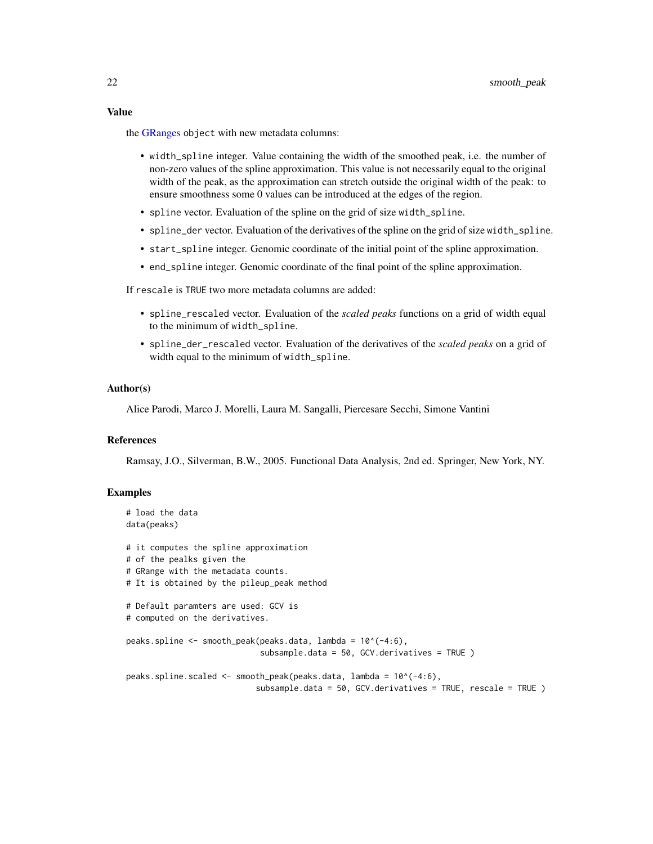#### <span id="page-21-0"></span>Value

the [GRanges](#page-0-0) object with new metadata columns:

- width\_spline integer. Value containing the width of the smoothed peak, i.e. the number of non-zero values of the spline approximation. This value is not necessarily equal to the original width of the peak, as the approximation can stretch outside the original width of the peak: to ensure smoothness some 0 values can be introduced at the edges of the region.
- spline vector. Evaluation of the spline on the grid of size width\_spline.
- spline\_der vector. Evaluation of the derivatives of the spline on the grid of size width\_spline.
- start\_spline integer. Genomic coordinate of the initial point of the spline approximation.
- end\_spline integer. Genomic coordinate of the final point of the spline approximation.

If rescale is TRUE two more metadata columns are added:

- spline\_rescaled vector. Evaluation of the *scaled peaks* functions on a grid of width equal to the minimum of width\_spline.
- spline\_der\_rescaled vector. Evaluation of the derivatives of the *scaled peaks* on a grid of width equal to the minimum of width\_spline.

#### Author(s)

Alice Parodi, Marco J. Morelli, Laura M. Sangalli, Piercesare Secchi, Simone Vantini

#### References

Ramsay, J.O., Silverman, B.W., 2005. Functional Data Analysis, 2nd ed. Springer, New York, NY.

#### Examples

```
# load the data
data(peaks)
# it computes the spline approximation
# of the pealks given the
# GRange with the metadata counts.
# It is obtained by the pileup_peak method
# Default paramters are used: GCV is
# computed on the derivatives.
peaks.spline <- smooth_peak(peaks.data, lambda = 10^(-4:6),
                            subsample.data = 50, GCV.derivatives = TRUE )
peaks.spline.scaled <- smooth_peak(peaks.data, lambda = 10^(-4:6),
                           subsample.data = 50, GCV.derivatives = TRUE, rescale = TRUE )
```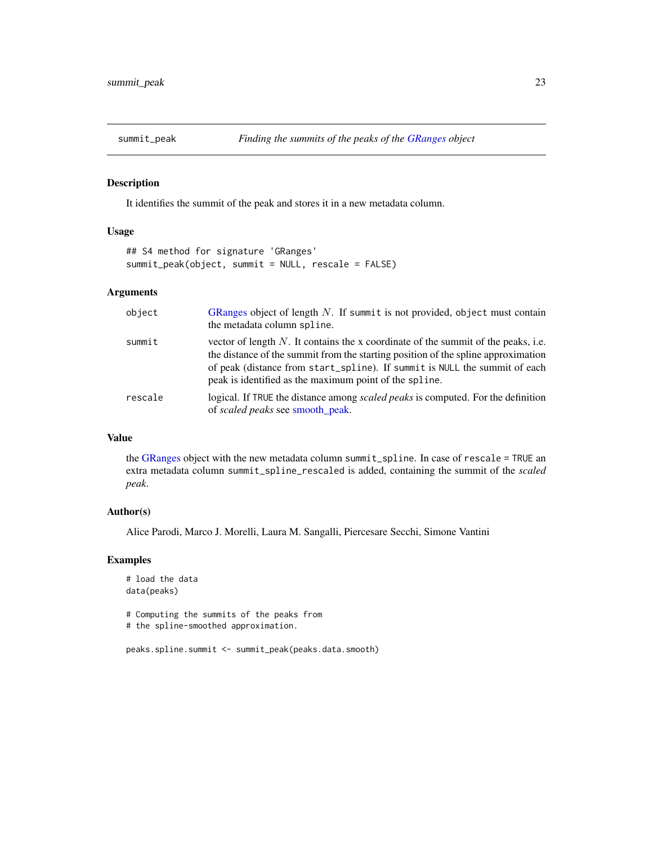<span id="page-22-0"></span>

#### <span id="page-22-1"></span>Description

It identifies the summit of the peak and stores it in a new metadata column.

#### Usage

```
## S4 method for signature 'GRanges'
summit_peak(object, summit = NULL, rescale = FALSE)
```
#### Arguments

| object  | GRanges object of length $N$ . If summit is not provided, object must contain<br>the metadata column spline.                                                                                                                                                                                                      |
|---------|-------------------------------------------------------------------------------------------------------------------------------------------------------------------------------------------------------------------------------------------------------------------------------------------------------------------|
| summit  | vector of length $N$ . It contains the x coordinate of the summit of the peaks, i.e.<br>the distance of the summit from the starting position of the spline approximation<br>of peak (distance from start_spline). If summit is NULL the summit of each<br>peak is identified as the maximum point of the spline. |
| rescale | logical. If TRUE the distance among <i>scaled peaks</i> is computed. For the definition<br>of scaled peaks see smooth_peak.                                                                                                                                                                                       |

#### Value

the [GRanges](#page-0-0) object with the new metadata column summit\_spline. In case of rescale = TRUE an extra metadata column summit\_spline\_rescaled is added, containing the summit of the *scaled peak*.

#### Author(s)

Alice Parodi, Marco J. Morelli, Laura M. Sangalli, Piercesare Secchi, Simone Vantini

#### Examples

```
# load the data
data(peaks)
```
# Computing the summits of the peaks from

# the spline-smoothed approximation.

```
peaks.spline.summit <- summit_peak(peaks.data.smooth)
```